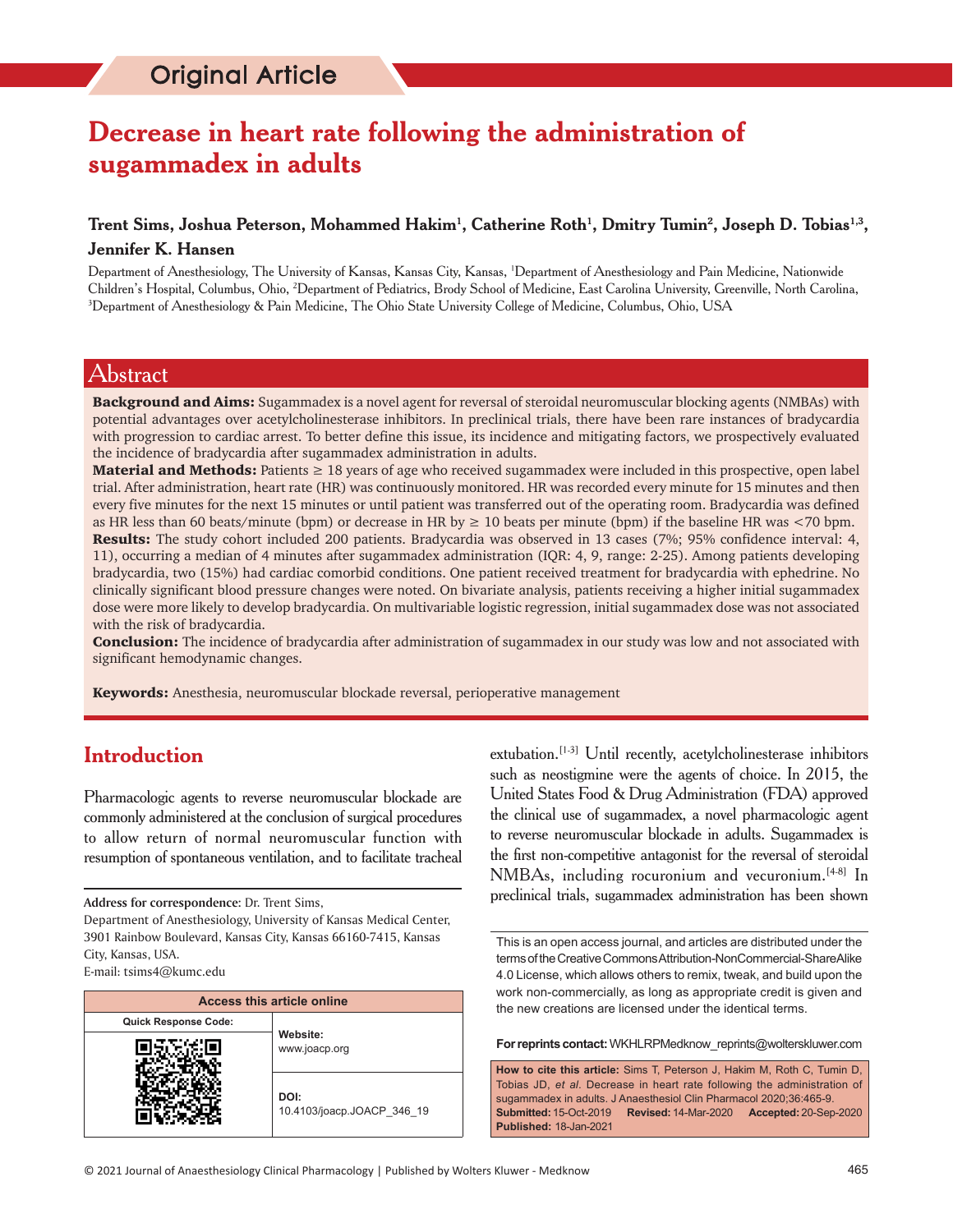# **Decrease in heart rate following the administration of sugammadex in adults**

### **Trent Sims, Joshua Peterson, Mohammed Hakim1 , Catherine Roth1 , Dmitry Tumin2 , Joseph D. Tobias1,3, Jennifer K. Hansen**

Department of Anesthesiology, The University of Kansas, Kansas City, Kansas, 1 Department of Anesthesiology and Pain Medicine, Nationwide Children's Hospital, Columbus, Ohio, 2 Department of Pediatrics, Brody School of Medicine, East Carolina University, Greenville, North Carolina, 3 Department of Anesthesiology & Pain Medicine, The Ohio State University College of Medicine, Columbus, Ohio, USA

### Abstract

**Background and Aims:** Sugammadex is a novel agent for reversal of steroidal neuromuscular blocking agents (NMBAs) with potential advantages over acetylcholinesterase inhibitors. In preclinical trials, there have been rare instances of bradycardia with progression to cardiac arrest. To better define this issue, its incidence and mitigating factors, we prospectively evaluated the incidence of bradycardia after sugammadex administration in adults.

**Material and Methods:** Patients  $\geq 18$  years of age who received sugammadex were included in this prospective, open label trial. After administration, heart rate (HR) was continuously monitored. HR was recorded every minute for 15 minutes and then every five minutes for the next 15 minutes or until patient was transferred out of the operating room. Bradycardia was defined as HR less than 60 beats/minute (bpm) or decrease in HR by  $\geq 10$  beats per minute (bpm) if the baseline HR was <70 bpm.

Results: The study cohort included 200 patients. Bradycardia was observed in 13 cases (7%; 95% confidence interval: 4, 11), occurring a median of 4 minutes after sugammadex administration (IQR: 4, 9, range: 2-25). Among patients developing bradycardia, two (15%) had cardiac comorbid conditions. One patient received treatment for bradycardia with ephedrine. No clinically significant blood pressure changes were noted. On bivariate analysis, patients receiving a higher initial sugammadex dose were more likely to develop bradycardia. On multivariable logistic regression, initial sugammadex dose was not associated with the risk of bradycardia.

Conclusion: The incidence of bradycardia after administration of sugammadex in our study was low and not associated with significant hemodynamic changes.

Keywords: Anesthesia, neuromuscular blockade reversal, perioperative management

## **Introduction**

Pharmacologic agents to reverse neuromuscular blockade are commonly administered at the conclusion of surgical procedures to allow return of normal neuromuscular function with resumption of spontaneous ventilation, and to facilitate tracheal

Department of Anesthesiology, University of Kansas Medical Center, 3901 Rainbow Boulevard, Kansas City, Kansas 66160‑7415, Kansas City, Kansas, USA. E‑mail: tsims4@kumc.edu

| <b>Access this article online</b> |                                    |  |  |
|-----------------------------------|------------------------------------|--|--|
| <b>Quick Response Code:</b>       |                                    |  |  |
|                                   | Website:<br>www.joacp.org          |  |  |
|                                   | DOI:<br>10.4103/joacp.JOACP 346 19 |  |  |

extubation.<sup>[1-3]</sup> Until recently, acetylcholinesterase inhibitors such as neostigmine were the agents of choice. In 2015, the United States Food & Drug Administration (FDA) approved the clinical use of sugammadex, a novel pharmacologic agent to reverse neuromuscular blockade in adults. Sugammadex is the first non‑competitive antagonist for the reversal of steroidal NMBAs, including rocuronium and vecuronium.<sup>[4-8]</sup> In Address for correspondence: Dr. Trent Sims, **Address for correspondence: Dr. Trent Sims**, **Address for correspondence**: Dr. Trent Sims,

**For reprints contact:** WKHLRPMedknow\_reprints@wolterskluwer.com

**How to cite this article:** Sims T, Peterson J, Hakim M, Roth C, Tumin D, Tobias JD, *et al*. Decrease in heart rate following the administration of sugammadex in adults. J Anaesthesiol Clin Pharmacol 2020;36:465-9. **Submitted:** 15-Oct-2019 **Revised:** 14-Mar-2020 **Accepted:** 20-Sep-2020 **Published:** 18-Jan-2021

This is an open access journal, and articles are distributed under the terms of the Creative Commons Attribution-NonCommercial-ShareAlike 4.0 License, which allows others to remix, tweak, and build upon the work non-commercially, as long as appropriate credit is given and the new creations are licensed under the identical terms.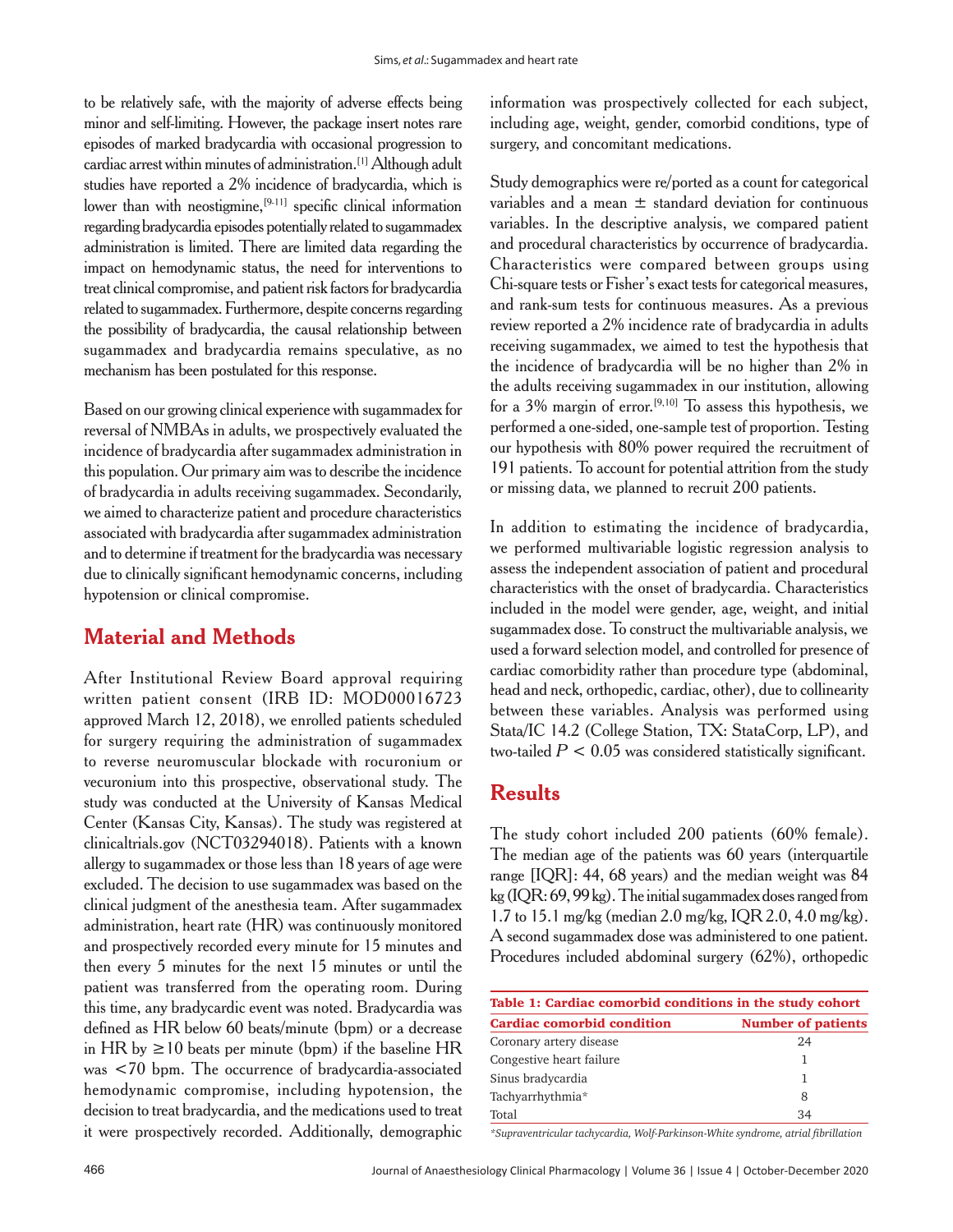to be relatively safe, with the majority of adverse effects being minor and self-limiting. However, the package insert notes rare episodes of marked bradycardia with occasional progression to cardiac arrest within minutes of administration.[1] Although adult studies have reported a 2% incidence of bradycardia, which is lower than with neostigmine,<sup>[9-11]</sup> specific clinical information regarding bradycardia episodes potentially related to sugammadex administration is limited. There are limited data regarding the impact on hemodynamic status, the need for interventions to treat clinical compromise, and patient risk factors for bradycardia related to sugammadex. Furthermore, despite concerns regarding the possibility of bradycardia, the causal relationship between sugammadex and bradycardia remains speculative, as no mechanism has been postulated for this response.

Based on our growing clinical experience with sugammadex for reversal of NMBAs in adults, we prospectively evaluated the incidence of bradycardia after sugammadex administration in this population. Our primary aim was to describe the incidence of bradycardia in adults receiving sugammadex. Secondarily, we aimed to characterize patient and procedure characteristics associated with bradycardia after sugammadex administration and to determine if treatment for the bradycardia was necessary due to clinically significant hemodynamic concerns, including hypotension or clinical compromise.

### **Material and Methods**

After Institutional Review Board approval requiring written patient consent (IRB ID: MOD00016723 approved March 12, 2018), we enrolled patients scheduled for surgery requiring the administration of sugammadex to reverse neuromuscular blockade with rocuronium or vecuronium into this prospective, observational study. The study was conducted at the University of Kansas Medical Center (Kansas City, Kansas). The study was registered at clinicaltrials.gov (NCT03294018). Patients with a known allergy to sugammadex or those less than 18 years of age were excluded. The decision to use sugammadex was based on the clinical judgment of the anesthesia team. After sugammadex administration, heart rate (HR) was continuously monitored and prospectively recorded every minute for 15 minutes and then every 5 minutes for the next 15 minutes or until the patient was transferred from the operating room. During this time, any bradycardic event was noted. Bradycardia was defined as HR below 60 beats/minute (bpm) or a decrease in HR by  $\geq$  10 beats per minute (bpm) if the baseline HR was <70 bpm. The occurrence of bradycardia‑associated hemodynamic compromise, including hypotension, the decision to treat bradycardia, and the medications used to treat it were prospectively recorded. Additionally, demographic information was prospectively collected for each subject, including age, weight, gender, comorbid conditions, type of surgery, and concomitant medications.

Study demographics were re/ported as a count for categorical variables and a mean ± standard deviation for continuous variables. In the descriptive analysis, we compared patient and procedural characteristics by occurrence of bradycardia. Characteristics were compared between groups using Chi‑square tests or Fisher's exact tests for categorical measures, and rank‑sum tests for continuous measures. As a previous review reported a 2% incidence rate of bradycardia in adults receiving sugammadex, we aimed to test the hypothesis that the incidence of bradycardia will be no higher than 2% in the adults receiving sugammadex in our institution, allowing for a  $3\%$  margin of error.<sup>[9,10]</sup> To assess this hypothesis, we performed a one‑sided, one‑sample test of proportion. Testing our hypothesis with 80% power required the recruitment of 191 patients. To account for potential attrition from the study or missing data, we planned to recruit 200 patients.

In addition to estimating the incidence of bradycardia, we performed multivariable logistic regression analysis to assess the independent association of patient and procedural characteristics with the onset of bradycardia. Characteristics included in the model were gender, age, weight, and initial sugammadex dose. To construct the multivariable analysis, we used a forward selection model, and controlled for presence of cardiac comorbidity rather than procedure type (abdominal, head and neck, orthopedic, cardiac, other), due to collinearity between these variables. Analysis was performed using Stata/IC 14.2 (College Station, TX: StataCorp, LP), and two-tailed  $P < 0.05$  was considered statistically significant.

# **Results**

The study cohort included 200 patients (60% female). The median age of the patients was 60 years (interquartile range [IQR]: 44, 68 years) and the median weight was 84 kg (IQR: 69, 99 kg). The initial sugammadex doses ranged from 1.7 to 15.1 mg/kg (median 2.0 mg/kg, IQR 2.0, 4.0 mg/kg). A second sugammadex dose was administered to one patient. Procedures included abdominal surgery (62%), orthopedic

| Table 1: Cardiac comorbid conditions in the study cohort |                           |  |
|----------------------------------------------------------|---------------------------|--|
| <b>Cardiac comorbid condition</b>                        | <b>Number of patients</b> |  |
| Coronary artery disease                                  | 24                        |  |
| Congestive heart failure                                 | 1                         |  |
| Sinus bradycardia                                        | 1                         |  |
| Tachyarrhythmia*                                         | 8                         |  |
| Total                                                    | 34                        |  |

*\*Supraventricular tachycardia, Wolf‑Parkinson‑White syndrome, atrial fibrillation*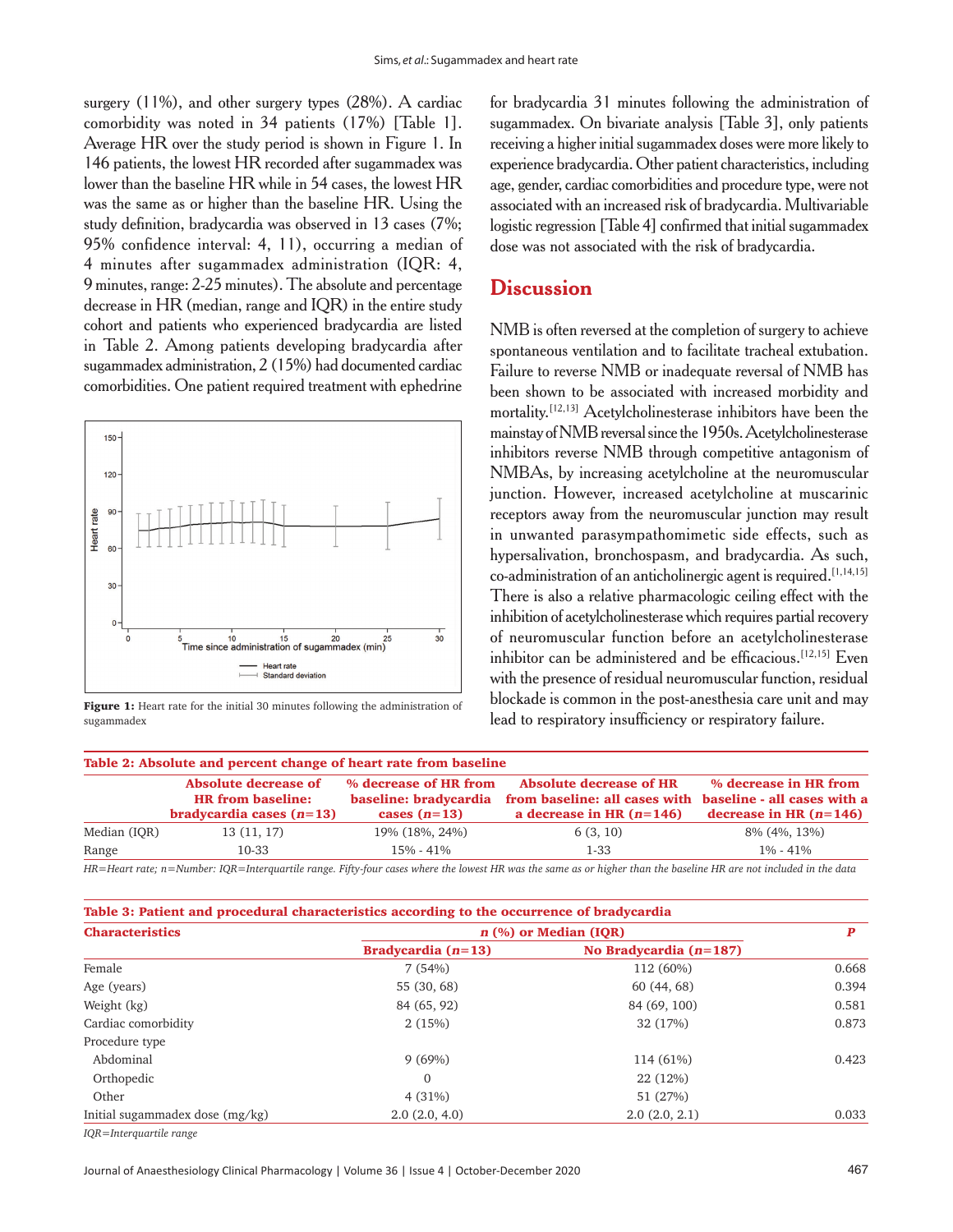surgery  $(11\%)$ , and other surgery types  $(28\%)$ . A cardiac comorbidity was noted in 34 patients (17%) [Table 1]. Average HR over the study period is shown in Figure 1. In 146 patients, the lowest HR recorded after sugammadex was lower than the baseline HR while in 54 cases, the lowest HR was the same as or higher than the baseline HR. Using the study definition, bradycardia was observed in 13 cases (7%; 95% confidence interval: 4, 11), occurring a median of 4 minutes after sugammadex administration (IQR: 4, 9minutes, range: 2‑25minutes). The absolute and percentage decrease in HR (median, range and IQR) in the entire study cohort and patients who experienced bradycardia are listed in Table 2. Among patients developing bradycardia after sugammadex administration, 2 (15%) had documented cardiac comorbidities. One patient required treatment with ephedrine



Figure 1: Heart rate for the initial 30 minutes following the administration of blockade is common in the post-anesthesia care unit and sugammadex<br>sugammadex sugammadex

for bradycardia 31 minutes following the administration of sugammadex. On bivariate analysis [Table 3], only patients receiving a higher initial sugammadex doses were more likely to experience bradycardia. Other patient characteristics, including age, gender, cardiac comorbidities and procedure type, were not associated with an increased risk of bradycardia. Multivariable logistic regression [Table 4] confirmed that initial sugammadex dose was not associated with the risk of bradycardia.

#### **Discussion**

NMB is often reversed at the completion of surgery to achieve spontaneous ventilation and to facilitate tracheal extubation. Failure to reverse NMB or inadequate reversal of NMB has been shown to be associated with increased morbidity and mortality.<sup>[12,13]</sup> Acetylcholinesterase inhibitors have been the mainstay of NMB reversal since the 1950s. Acetylcholinesterase inhibitors reverse NMB through competitive antagonism of NMBAs, by increasing acetylcholine at the neuromuscular junction. However, increased acetylcholine at muscarinic receptors away from the neuromuscular junction may result in unwanted parasympathomimetic side effects, such as hypersalivation, bronchospasm, and bradycardia. As such, co-administration of an anticholinergic agent is required.<sup>[1,14,15]</sup> There is also a relative pharmacologic ceiling effect with the inhibition of acetylcholinesterase which requires partial recovery of neuromuscular function before an acetylcholinesterase inhibitor can be administered and be efficacious.<sup>[12,15]</sup> Even with the presence of residual neuromuscular function, residual blockade is common in the post-anesthesia care unit and may

| Table 2: Absolute and percent change of heart rate from baseline |                                                                                |                                                                  |                                                                                               |                                                                                  |  |  |  |
|------------------------------------------------------------------|--------------------------------------------------------------------------------|------------------------------------------------------------------|-----------------------------------------------------------------------------------------------|----------------------------------------------------------------------------------|--|--|--|
|                                                                  | Absolute decrease of<br><b>HR</b> from baseline:<br>bradycardia cases $(n=13)$ | % decrease of HR from<br>baseline: bradycardia<br>cases $(n=13)$ | <b>Absolute decrease of HR</b><br>from baseline: all cases with<br>a decrease in HR $(n=146)$ | % decrease in HR from<br>baseline - all cases with a<br>decrease in HR $(n=146)$ |  |  |  |
| Median (IQR)                                                     | 13(11, 17)                                                                     | 19% (18%, 24%)                                                   | 6(3, 10)                                                                                      | 8\% (4\%, 13\%)                                                                  |  |  |  |
| Range                                                            | 10-33                                                                          | 15% - 41%                                                        | $1 - 33$                                                                                      | $1\% - 41\%$                                                                     |  |  |  |
| ____                                                             | .                                                                              | $-8.0$                                                           | ___                                                                                           | .                                                                                |  |  |  |

*HR=Heart rate; n=Number: IQR=Interquartile range. Fifty‑four cases where the lowest HR was the same as or higher than the baseline HR are not included in the data*

| Table 3: Patient and procedural characteristics according to the occurrence of bradycardia |                         |                          |       |  |  |  |
|--------------------------------------------------------------------------------------------|-------------------------|--------------------------|-------|--|--|--|
| <b>Characteristics</b>                                                                     | $n$ (%) or Median (IOR) |                          |       |  |  |  |
|                                                                                            | Bradycardia $(n=13)$    | No Bradycardia $(n=187)$ |       |  |  |  |
| Female                                                                                     | 7(54%)                  | 112 (60%)                | 0.668 |  |  |  |
| Age (years)                                                                                | 55 (30, 68)             | 60(44, 68)               | 0.394 |  |  |  |
| Weight (kg)                                                                                | 84 (65, 92)             | 84 (69, 100)             | 0.581 |  |  |  |
| Cardiac comorbidity                                                                        | 2(15%)                  | 32 (17%)                 | 0.873 |  |  |  |
| Procedure type                                                                             |                         |                          |       |  |  |  |
| Abdominal                                                                                  | 9(69%)                  | 114 (61%)                | 0.423 |  |  |  |
| Orthopedic                                                                                 | $\Omega$                | 22 (12%)                 |       |  |  |  |
| Other                                                                                      | 4(31%)                  | 51 (27%)                 |       |  |  |  |
| Initial sugammadex dose $(mg/kg)$                                                          | 2.0(2.0, 4.0)           | 2.0(2.0, 2.1)            | 0.033 |  |  |  |
|                                                                                            |                         |                          |       |  |  |  |

*IQR=Interquartile range*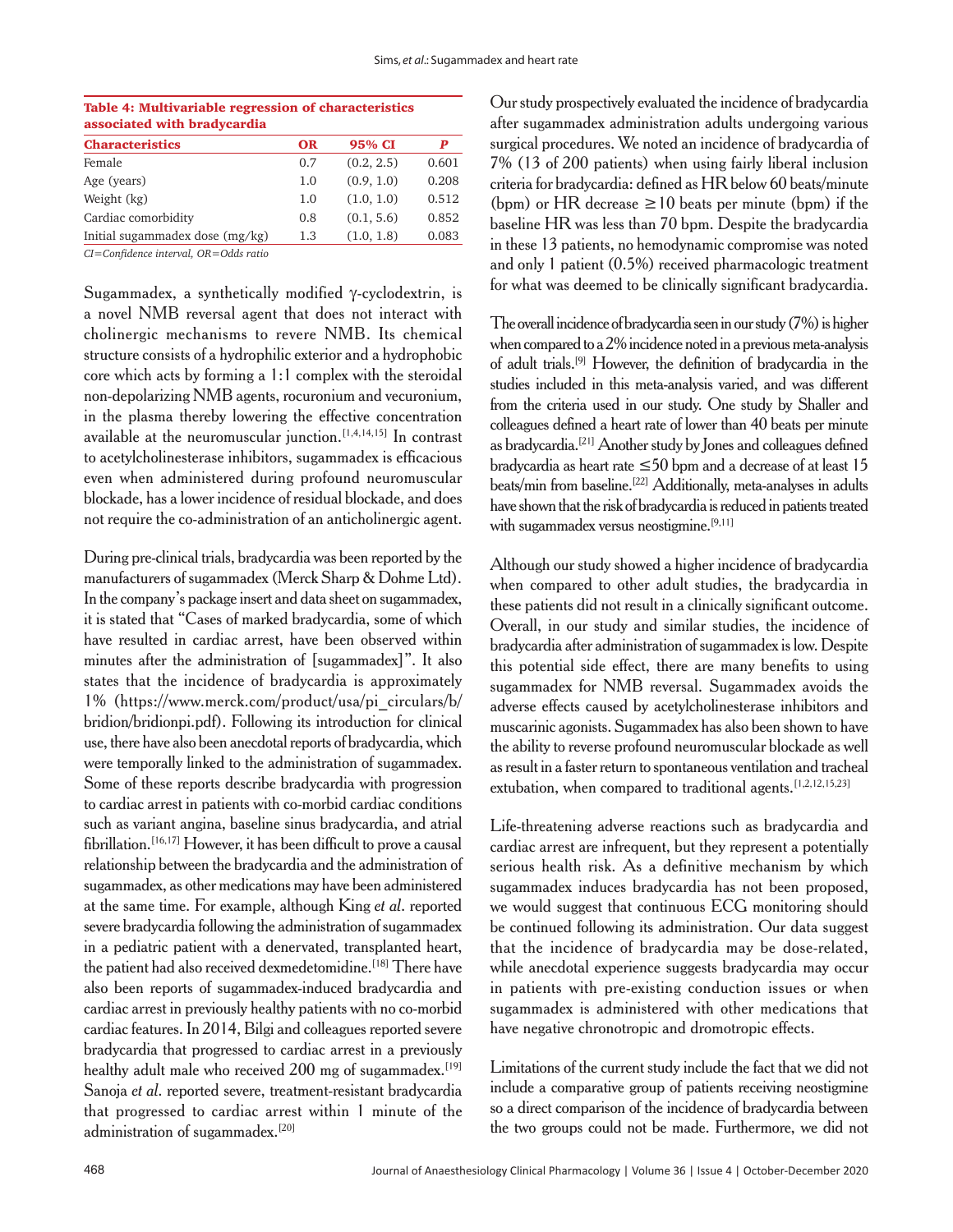| Table 4: Multivariable regression of characteristics<br>associated with bradycardia |           |            |       |  |
|-------------------------------------------------------------------------------------|-----------|------------|-------|--|
| <b>Characteristics</b>                                                              | <b>OR</b> | 95% CI     | P     |  |
| Female                                                                              | 0.7       | (0.2, 2.5) | 0.601 |  |
| Age (years)                                                                         | 1.0       | (0.9, 1.0) | 0.208 |  |
| Weight (kg)                                                                         | 1.0       | (1.0, 1.0) | 0.512 |  |
| Cardiac comorbidity                                                                 | 0.8       | (0.1, 5.6) | 0.852 |  |
| Initial sugammadex dose $(mg/kg)$                                                   | 1.3       | (1.0, 1.8) | 0.083 |  |

Table 4: Multivariable regression of characteristics

*CI=Confidence interval, OR=Odds ratio*

Sugammadex, a synthetically modified γ‑cyclodextrin, is a novel NMB reversal agent that does not interact with cholinergic mechanisms to revere NMB. Its chemical structure consists of a hydrophilic exterior and a hydrophobic core which acts by forming a 1:1 complex with the steroidal non‑depolarizing NMB agents, rocuronium and vecuronium, in the plasma thereby lowering the effective concentration available at the neuromuscular junction.[1,4,14,15] In contrast to acetylcholinesterase inhibitors, sugammadex is efficacious even when administered during profound neuromuscular blockade, has a lower incidence of residual blockade, and does not require the co‑administration of an anticholinergic agent.

During pre‑clinical trials, bradycardia was been reported by the manufacturers of sugammadex (Merck Sharp & Dohme Ltd). In the company's package insert and data sheet on sugammadex, it is stated that "Cases of marked bradycardia, some of which have resulted in cardiac arrest, have been observed within minutes after the administration of [sugammadex]". It also states that the incidence of bradycardia is approximately 1% (https://www.merck.com/product/usa/pi\_circulars/b/ bridion/bridionpi.pdf). Following its introduction for clinical use, there have also been anecdotal reports of bradycardia, which were temporally linked to the administration of sugammadex. Some of these reports describe bradycardia with progression to cardiac arrest in patients with co‑morbid cardiac conditions such as variant angina, baseline sinus bradycardia, and atrial fibrillation.<sup>[16,17]</sup> However, it has been difficult to prove a causal relationship between the bradycardia and the administration of sugammadex, as other medications may have been administered at the same time. For example, although King *et al*. reported severe bradycardia following the administration of sugammadex in a pediatric patient with a denervated, transplanted heart, the patient had also received dexmedetomidine.<sup>[18]</sup> There have also been reports of sugammadex‑induced bradycardia and cardiac arrest in previously healthy patients with no co-morbid cardiac features. In 2014, Bilgi and colleagues reported severe bradycardia that progressed to cardiac arrest in a previously healthy adult male who received 200 mg of sugammadex.<sup>[19]</sup> Sanoja *et al.* reported severe, treatment-resistant bradycardia that progressed to cardiac arrest within 1 minute of the administration of sugammadex.[20]

Our study prospectively evaluated the incidence of bradycardia after sugammadex administration adults undergoing various surgical procedures. We noted an incidence of bradycardia of 7% (13 of 200 patients) when using fairly liberal inclusion criteria for bradycardia: defined as HR below 60 beats/minute (bpm) or HR decrease  $\geq$  10 beats per minute (bpm) if the baseline HR was less than 70 bpm. Despite the bradycardia in these 13 patients, no hemodynamic compromise was noted and only 1 patient (0.5%) received pharmacologic treatment for what was deemed to be clinically significant bradycardia.

The overall incidence of bradycardia seen in our study(7%) is higher when compared to a 2% incidence noted in a previous meta-analysis of adult trials.[9] However, the definition of bradycardia in the studies included in this meta‑analysis varied, and was different from the criteria used in our study. One study by Shaller and colleagues defined a heart rate of lower than 40 beats per minute as bradycardia.[21] Another study by Jones and colleagues defined bradycardia as heart rate ≤50 bpm and a decrease of at least 15 beats/min from baseline.<sup>[22]</sup> Additionally, meta-analyses in adults have shown that the risk of bradycardia is reduced in patients treated with sugammadex versus neostigmine.<sup>[9,11]</sup>

Although our study showed a higher incidence of bradycardia when compared to other adult studies, the bradycardia in these patients did not result in a clinically significant outcome. Overall, in our study and similar studies, the incidence of bradycardia after administration of sugammadex is low. Despite this potential side effect, there are many benefits to using sugammadex for NMB reversal. Sugammadex avoids the adverse effects caused by acetylcholinesterase inhibitors and muscarinic agonists. Sugammadex has also been shown to have the ability to reverse profound neuromuscular blockade as well as result in a faster return to spontaneous ventilation and tracheal extubation, when compared to traditional agents.<sup>[1,2,12,15,23]</sup>

Life-threatening adverse reactions such as bradycardia and cardiac arrest are infrequent, but they represent a potentially serious health risk. As a definitive mechanism by which sugammadex induces bradycardia has not been proposed, we would suggest that continuous ECG monitoring should be continued following its administration. Our data suggest that the incidence of bradycardia may be dose-related, while anecdotal experience suggests bradycardia may occur in patients with pre-existing conduction issues or when sugammadex is administered with other medications that have negative chronotropic and dromotropic effects.

Limitations of the current study include the fact that we did not include a comparative group of patients receiving neostigmine so a direct comparison of the incidence of bradycardia between the two groups could not be made. Furthermore, we did not